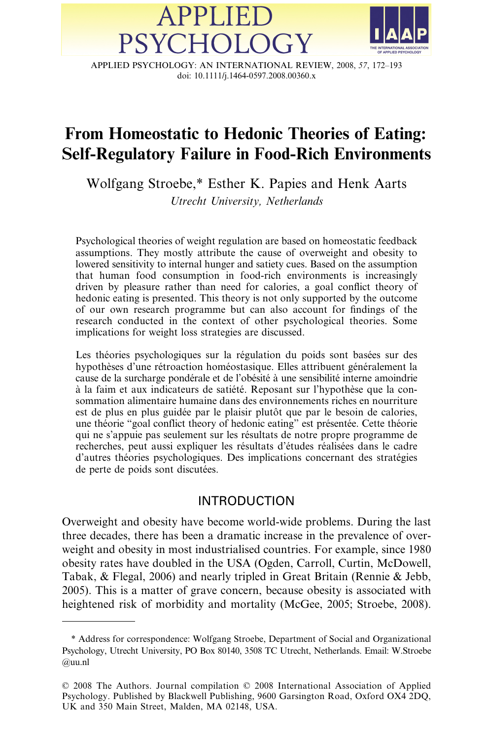

APPLIED PSYCHOLOGY: AN INTERNATIONAL REVIEW, 2008, *57*, 172–193 doi: 10.1111/j.1464-0597.2008.00360.x

APPLIED

**PSYCHOLO** 

# From Homeostatic to Hedonic Theories of Eating: **Self-Regulatory Failure in Food-Rich Environments**

Wolfgang Stroebe,\* Esther K. Papies and Henk Aarts

*Utrecht University, Netherlands*

Psychological theories of weight regulation are based on homeostatic feedback assumptions. They mostly attribute the cause of overweight and obesity to lowered sensitivity to internal hunger and satiety cues. Based on the assumption that human food consumption in food-rich environments is increasingly driven by pleasure rather than need for calories, a goal conflict theory of hedonic eating is presented. This theory is not only supported by the outcome of our own research programme but can also account for findings of the research conducted in the context of other psychological theories. Some implications for weight loss strategies are discussed.

Les théories psychologiques sur la régulation du poids sont basées sur des hypothèses d'une rétroaction homéostasique. Elles attribuent généralement la cause de la surcharge pondérale et de l'obésité à une sensibilité interne amoindrie à la faim et aux indicateurs de satiété. Reposant sur l'hypothèse que la consommation alimentaire humaine dans des environnements riches en nourriture est de plus en plus guidée par le plaisir plutôt que par le besoin de calories, une théorie "goal conflict theory of hedonic eating" est présentée. Cette théorie qui ne s'appuie pas seulement sur les résultats de notre propre programme de recherches, peut aussi expliquer les résultats d'études réalisées dans le cadre d'autres théories psychologiques. Des implications concernant des stratégies de perte de poids sont discutées.

# INTRODUCTION

Overweight and obesity have become world-wide problems. During the last three decades, there has been a dramatic increase in the prevalence of overweight and obesity in most industrialised countries. For example, since 1980 obesity rates have doubled in the USA (Ogden, Carroll, Curtin, McDowell, Tabak, & Flegal, 2006) and nearly tripled in Great Britain (Rennie & Jebb, 2005). This is a matter of grave concern, because obesity is associated with heightened risk of morbidity and mortality (McGee, 2005; Stroebe, 2008).

<sup>\*</sup> Address for correspondence: Wolfgang Stroebe, Department of Social and Organizational Psychology, Utrecht University, PO Box 80140, 3508 TC Utrecht, Netherlands. Email: W.Stroebe @uu.nl

<sup>© 2008</sup> The Authors. Journal compilation © 2008 International Association of Applied Psychology. Published by Blackwell Publishing, 9600 Garsington Road, Oxford OX4 2DQ, UK and 350 Main Street, Malden, MA 02148, USA.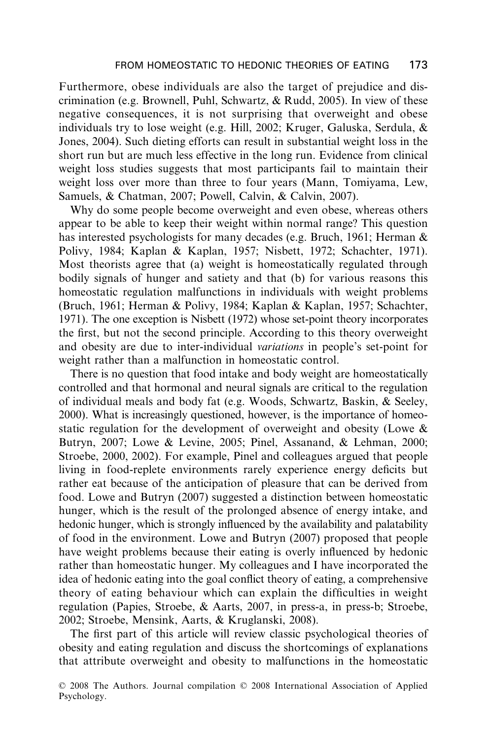Furthermore, obese individuals are also the target of prejudice and discrimination (e.g. Brownell, Puhl, Schwartz, & Rudd, 2005). In view of these negative consequences, it is not surprising that overweight and obese individuals try to lose weight (e.g. Hill, 2002; Kruger, Galuska, Serdula, & Jones, 2004). Such dieting efforts can result in substantial weight loss in the short run but are much less effective in the long run. Evidence from clinical weight loss studies suggests that most participants fail to maintain their weight loss over more than three to four years (Mann, Tomiyama, Lew, Samuels, & Chatman, 2007; Powell, Calvin, & Calvin, 2007).

Why do some people become overweight and even obese, whereas others appear to be able to keep their weight within normal range? This question has interested psychologists for many decades (e.g. Bruch, 1961; Herman & Polivy, 1984; Kaplan & Kaplan, 1957; Nisbett, 1972; Schachter, 1971). Most theorists agree that (a) weight is homeostatically regulated through bodily signals of hunger and satiety and that (b) for various reasons this homeostatic regulation malfunctions in individuals with weight problems (Bruch, 1961; Herman & Polivy, 1984; Kaplan & Kaplan, 1957; Schachter, 1971). The one exception is Nisbett (1972) whose set-point theory incorporates the first, but not the second principle. According to this theory overweight and obesity are due to inter-individual *variations* in people's set-point for weight rather than a malfunction in homeostatic control.

There is no question that food intake and body weight are homeostatically controlled and that hormonal and neural signals are critical to the regulation of individual meals and body fat (e.g. Woods, Schwartz, Baskin, & Seeley, 2000). What is increasingly questioned, however, is the importance of homeostatic regulation for the development of overweight and obesity (Lowe & Butryn, 2007; Lowe & Levine, 2005; Pinel, Assanand, & Lehman, 2000; Stroebe, 2000, 2002). For example, Pinel and colleagues argued that people living in food-replete environments rarely experience energy deficits but rather eat because of the anticipation of pleasure that can be derived from food. Lowe and Butryn (2007) suggested a distinction between homeostatic hunger, which is the result of the prolonged absence of energy intake, and hedonic hunger, which is strongly influenced by the availability and palatability of food in the environment. Lowe and Butryn (2007) proposed that people have weight problems because their eating is overly influenced by hedonic rather than homeostatic hunger. My colleagues and I have incorporated the idea of hedonic eating into the goal conflict theory of eating, a comprehensive theory of eating behaviour which can explain the difficulties in weight regulation (Papies, Stroebe, & Aarts, 2007, in press-a, in press-b; Stroebe, 2002; Stroebe, Mensink, Aarts, & Kruglanski, 2008).

The first part of this article will review classic psychological theories of obesity and eating regulation and discuss the shortcomings of explanations that attribute overweight and obesity to malfunctions in the homeostatic

<sup>© 2008</sup> The Authors. Journal compilation © 2008 International Association of Applied Psychology.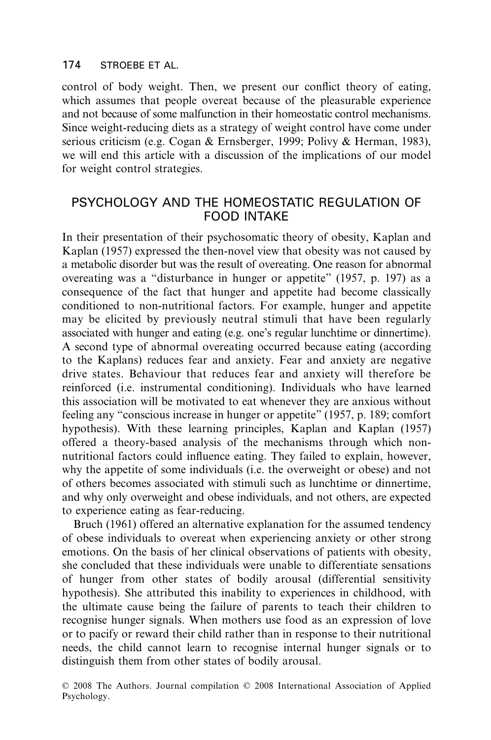control of body weight. Then, we present our conflict theory of eating, which assumes that people overeat because of the pleasurable experience and not because of some malfunction in their homeostatic control mechanisms. Since weight-reducing diets as a strategy of weight control have come under serious criticism (e.g. Cogan & Ernsberger, 1999; Polivy & Herman, 1983), we will end this article with a discussion of the implications of our model for weight control strategies.

# PSYCHOLOGY AND THE HOMEOSTATIC REGULATION OF FOOD INTAKE

In their presentation of their psychosomatic theory of obesity, Kaplan and Kaplan (1957) expressed the then-novel view that obesity was not caused by a metabolic disorder but was the result of overeating. One reason for abnormal overeating was a "disturbance in hunger or appetite" (1957, p. 197) as a consequence of the fact that hunger and appetite had become classically conditioned to non-nutritional factors. For example, hunger and appetite may be elicited by previously neutral stimuli that have been regularly associated with hunger and eating (e.g. one's regular lunchtime or dinnertime). A second type of abnormal overeating occurred because eating (according to the Kaplans) reduces fear and anxiety. Fear and anxiety are negative drive states. Behaviour that reduces fear and anxiety will therefore be reinforced (i.e. instrumental conditioning). Individuals who have learned this association will be motivated to eat whenever they are anxious without feeling any "conscious increase in hunger or appetite" (1957, p. 189; comfort hypothesis). With these learning principles, Kaplan and Kaplan (1957) offered a theory-based analysis of the mechanisms through which nonnutritional factors could influence eating. They failed to explain, however, why the appetite of some individuals (i.e. the overweight or obese) and not of others becomes associated with stimuli such as lunchtime or dinnertime, and why only overweight and obese individuals, and not others, are expected to experience eating as fear-reducing.

Bruch (1961) offered an alternative explanation for the assumed tendency of obese individuals to overeat when experiencing anxiety or other strong emotions. On the basis of her clinical observations of patients with obesity, she concluded that these individuals were unable to differentiate sensations of hunger from other states of bodily arousal (differential sensitivity hypothesis). She attributed this inability to experiences in childhood, with the ultimate cause being the failure of parents to teach their children to recognise hunger signals. When mothers use food as an expression of love or to pacify or reward their child rather than in response to their nutritional needs, the child cannot learn to recognise internal hunger signals or to distinguish them from other states of bodily arousal.

<sup>© 2008</sup> The Authors. Journal compilation © 2008 International Association of Applied Psychology.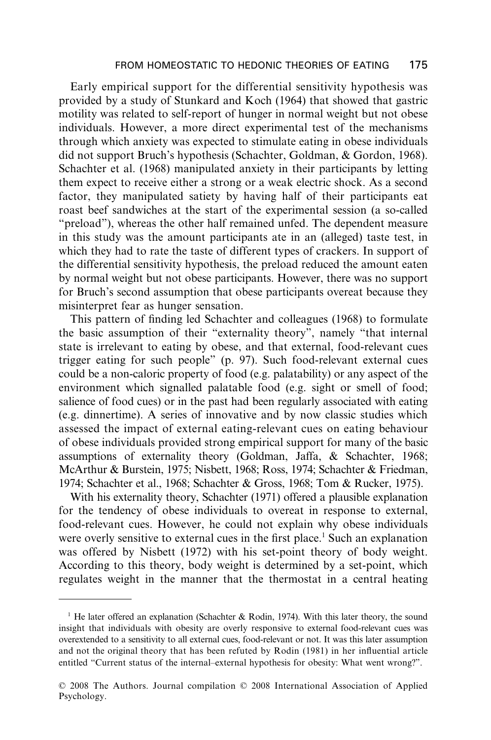Early empirical support for the differential sensitivity hypothesis was provided by a study of Stunkard and Koch (1964) that showed that gastric motility was related to self-report of hunger in normal weight but not obese individuals. However, a more direct experimental test of the mechanisms through which anxiety was expected to stimulate eating in obese individuals did not support Bruch's hypothesis (Schachter, Goldman, & Gordon, 1968). Schachter et al. (1968) manipulated anxiety in their participants by letting them expect to receive either a strong or a weak electric shock. As a second factor, they manipulated satiety by having half of their participants eat roast beef sandwiches at the start of the experimental session (a so-called "preload"), whereas the other half remained unfed. The dependent measure in this study was the amount participants ate in an (alleged) taste test, in which they had to rate the taste of different types of crackers. In support of the differential sensitivity hypothesis, the preload reduced the amount eaten by normal weight but not obese participants. However, there was no support for Bruch's second assumption that obese participants overeat because they misinterpret fear as hunger sensation.

This pattern of finding led Schachter and colleagues (1968) to formulate the basic assumption of their "externality theory", namely "that internal state is irrelevant to eating by obese, and that external, food-relevant cues trigger eating for such people" (p. 97). Such food-relevant external cues could be a non-caloric property of food (e.g. palatability) or any aspect of the environment which signalled palatable food (e.g. sight or smell of food; salience of food cues) or in the past had been regularly associated with eating (e.g. dinnertime). A series of innovative and by now classic studies which assessed the impact of external eating-relevant cues on eating behaviour of obese individuals provided strong empirical support for many of the basic assumptions of externality theory (Goldman, Jaffa, & Schachter, 1968; McArthur & Burstein, 1975; Nisbett, 1968; Ross, 1974; Schachter & Friedman, 1974; Schachter et al., 1968; Schachter & Gross, 1968; Tom & Rucker, 1975).

With his externality theory, Schachter (1971) offered a plausible explanation for the tendency of obese individuals to overeat in response to external, food-relevant cues. However, he could not explain why obese individuals were overly sensitive to external cues in the first place.<sup>1</sup> Such an explanation was offered by Nisbett (1972) with his set-point theory of body weight. According to this theory, body weight is determined by a set-point, which regulates weight in the manner that the thermostat in a central heating

<sup>&</sup>lt;sup>1</sup> He later offered an explanation (Schachter & Rodin, 1974). With this later theory, the sound insight that individuals with obesity are overly responsive to external food-relevant cues was overextended to a sensitivity to all external cues, food-relevant or not. It was this later assumption and not the original theory that has been refuted by Rodin (1981) in her influential article entitled "Current status of the internal–external hypothesis for obesity: What went wrong?".

<sup>© 2008</sup> The Authors. Journal compilation © 2008 International Association of Applied Psychology.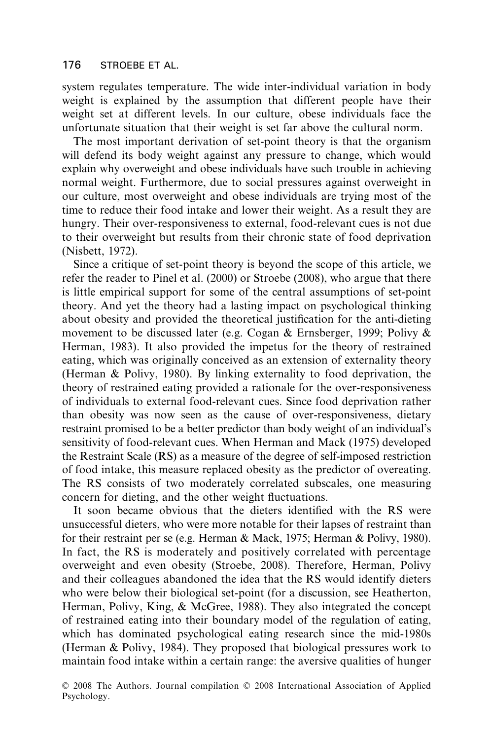system regulates temperature. The wide inter-individual variation in body weight is explained by the assumption that different people have their weight set at different levels. In our culture, obese individuals face the unfortunate situation that their weight is set far above the cultural norm.

The most important derivation of set-point theory is that the organism will defend its body weight against any pressure to change, which would explain why overweight and obese individuals have such trouble in achieving normal weight. Furthermore, due to social pressures against overweight in our culture, most overweight and obese individuals are trying most of the time to reduce their food intake and lower their weight. As a result they are hungry. Their over-responsiveness to external, food-relevant cues is not due to their overweight but results from their chronic state of food deprivation (Nisbett, 1972).

Since a critique of set-point theory is beyond the scope of this article, we refer the reader to Pinel et al. (2000) or Stroebe (2008), who argue that there is little empirical support for some of the central assumptions of set-point theory. And yet the theory had a lasting impact on psychological thinking about obesity and provided the theoretical justification for the anti-dieting movement to be discussed later (e.g. Cogan & Ernsberger, 1999; Polivy & Herman, 1983). It also provided the impetus for the theory of restrained eating, which was originally conceived as an extension of externality theory (Herman & Polivy, 1980). By linking externality to food deprivation, the theory of restrained eating provided a rationale for the over-responsiveness of individuals to external food-relevant cues. Since food deprivation rather than obesity was now seen as the cause of over-responsiveness, dietary restraint promised to be a better predictor than body weight of an individual's sensitivity of food-relevant cues. When Herman and Mack (1975) developed the Restraint Scale (RS) as a measure of the degree of self-imposed restriction of food intake, this measure replaced obesity as the predictor of overeating. The RS consists of two moderately correlated subscales, one measuring concern for dieting, and the other weight fluctuations.

It soon became obvious that the dieters identified with the RS were unsuccessful dieters, who were more notable for their lapses of restraint than for their restraint per se (e.g. Herman & Mack, 1975; Herman & Polivy, 1980). In fact, the RS is moderately and positively correlated with percentage overweight and even obesity (Stroebe, 2008). Therefore, Herman, Polivy and their colleagues abandoned the idea that the RS would identify dieters who were below their biological set-point (for a discussion, see Heatherton, Herman, Polivy, King, & McGree, 1988). They also integrated the concept of restrained eating into their boundary model of the regulation of eating, which has dominated psychological eating research since the mid-1980s (Herman & Polivy, 1984). They proposed that biological pressures work to maintain food intake within a certain range: the aversive qualities of hunger

<sup>© 2008</sup> The Authors. Journal compilation © 2008 International Association of Applied Psychology.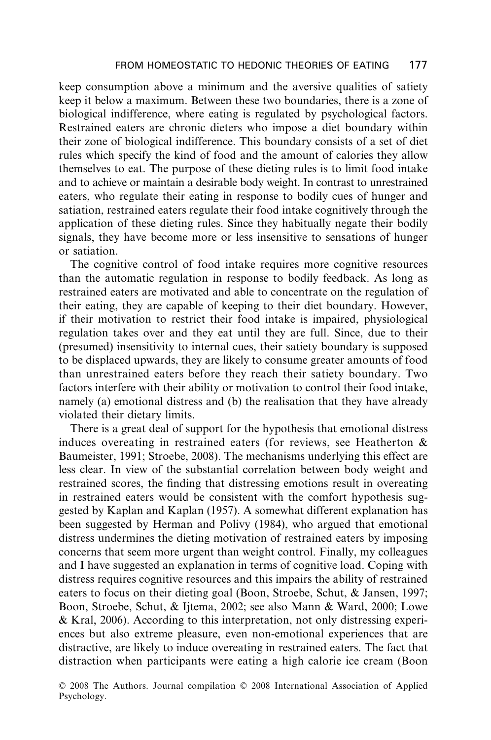keep consumption above a minimum and the aversive qualities of satiety keep it below a maximum. Between these two boundaries, there is a zone of biological indifference, where eating is regulated by psychological factors. Restrained eaters are chronic dieters who impose a diet boundary within their zone of biological indifference. This boundary consists of a set of diet rules which specify the kind of food and the amount of calories they allow themselves to eat. The purpose of these dieting rules is to limit food intake and to achieve or maintain a desirable body weight. In contrast to unrestrained eaters, who regulate their eating in response to bodily cues of hunger and satiation, restrained eaters regulate their food intake cognitively through the application of these dieting rules. Since they habitually negate their bodily signals, they have become more or less insensitive to sensations of hunger or satiation.

The cognitive control of food intake requires more cognitive resources than the automatic regulation in response to bodily feedback. As long as restrained eaters are motivated and able to concentrate on the regulation of their eating, they are capable of keeping to their diet boundary. However, if their motivation to restrict their food intake is impaired, physiological regulation takes over and they eat until they are full. Since, due to their (presumed) insensitivity to internal cues, their satiety boundary is supposed to be displaced upwards, they are likely to consume greater amounts of food than unrestrained eaters before they reach their satiety boundary. Two factors interfere with their ability or motivation to control their food intake, namely (a) emotional distress and (b) the realisation that they have already violated their dietary limits.

There is a great deal of support for the hypothesis that emotional distress induces overeating in restrained eaters (for reviews, see Heatherton  $\&$ Baumeister, 1991; Stroebe, 2008). The mechanisms underlying this effect are less clear. In view of the substantial correlation between body weight and restrained scores, the finding that distressing emotions result in overeating in restrained eaters would be consistent with the comfort hypothesis suggested by Kaplan and Kaplan (1957). A somewhat different explanation has been suggested by Herman and Polivy (1984), who argued that emotional distress undermines the dieting motivation of restrained eaters by imposing concerns that seem more urgent than weight control. Finally, my colleagues and I have suggested an explanation in terms of cognitive load. Coping with distress requires cognitive resources and this impairs the ability of restrained eaters to focus on their dieting goal (Boon, Stroebe, Schut, & Jansen, 1997; Boon, Stroebe, Schut, & Ijtema, 2002; see also Mann & Ward, 2000; Lowe & Kral, 2006). According to this interpretation, not only distressing experiences but also extreme pleasure, even non-emotional experiences that are distractive, are likely to induce overeating in restrained eaters. The fact that distraction when participants were eating a high calorie ice cream (Boon

<sup>© 2008</sup> The Authors. Journal compilation © 2008 International Association of Applied Psychology.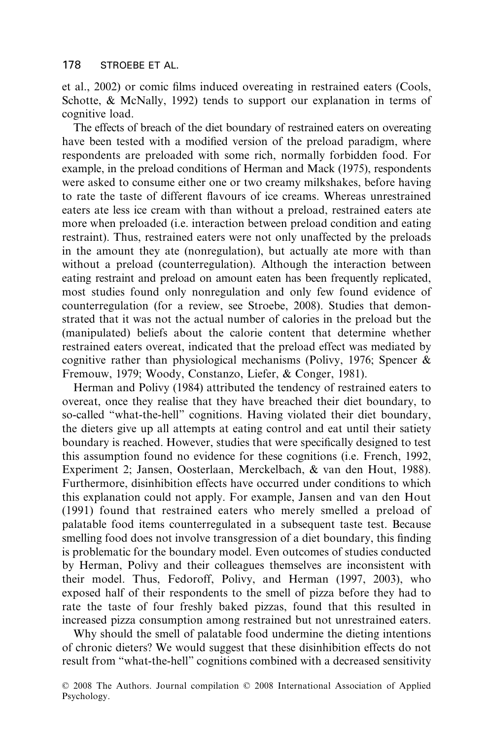et al., 2002) or comic films induced overeating in restrained eaters (Cools, Schotte, & McNally, 1992) tends to support our explanation in terms of cognitive load.

The effects of breach of the diet boundary of restrained eaters on overeating have been tested with a modified version of the preload paradigm, where respondents are preloaded with some rich, normally forbidden food. For example, in the preload conditions of Herman and Mack (1975), respondents were asked to consume either one or two creamy milkshakes, before having to rate the taste of different flavours of ice creams. Whereas unrestrained eaters ate less ice cream with than without a preload, restrained eaters ate more when preloaded (i.e. interaction between preload condition and eating restraint). Thus, restrained eaters were not only unaffected by the preloads in the amount they ate (nonregulation), but actually ate more with than without a preload (counterregulation). Although the interaction between eating restraint and preload on amount eaten has been frequently replicated, most studies found only nonregulation and only few found evidence of counterregulation (for a review, see Stroebe, 2008). Studies that demonstrated that it was not the actual number of calories in the preload but the (manipulated) beliefs about the calorie content that determine whether restrained eaters overeat, indicated that the preload effect was mediated by cognitive rather than physiological mechanisms (Polivy, 1976; Spencer & Fremouw, 1979; Woody, Constanzo, Liefer, & Conger, 1981).

Herman and Polivy (1984) attributed the tendency of restrained eaters to overeat, once they realise that they have breached their diet boundary, to so-called "what-the-hell" cognitions. Having violated their diet boundary, the dieters give up all attempts at eating control and eat until their satiety boundary is reached. However, studies that were specifically designed to test this assumption found no evidence for these cognitions (i.e. French, 1992, Experiment 2; Jansen, Oosterlaan, Merckelbach, & van den Hout, 1988). Furthermore, disinhibition effects have occurred under conditions to which this explanation could not apply. For example, Jansen and van den Hout (1991) found that restrained eaters who merely smelled a preload of palatable food items counterregulated in a subsequent taste test. Because smelling food does not involve transgression of a diet boundary, this finding is problematic for the boundary model. Even outcomes of studies conducted by Herman, Polivy and their colleagues themselves are inconsistent with their model. Thus, Fedoroff, Polivy, and Herman (1997, 2003), who exposed half of their respondents to the smell of pizza before they had to rate the taste of four freshly baked pizzas, found that this resulted in increased pizza consumption among restrained but not unrestrained eaters.

Why should the smell of palatable food undermine the dieting intentions of chronic dieters? We would suggest that these disinhibition effects do not result from "what-the-hell" cognitions combined with a decreased sensitivity

<sup>© 2008</sup> The Authors. Journal compilation © 2008 International Association of Applied Psychology.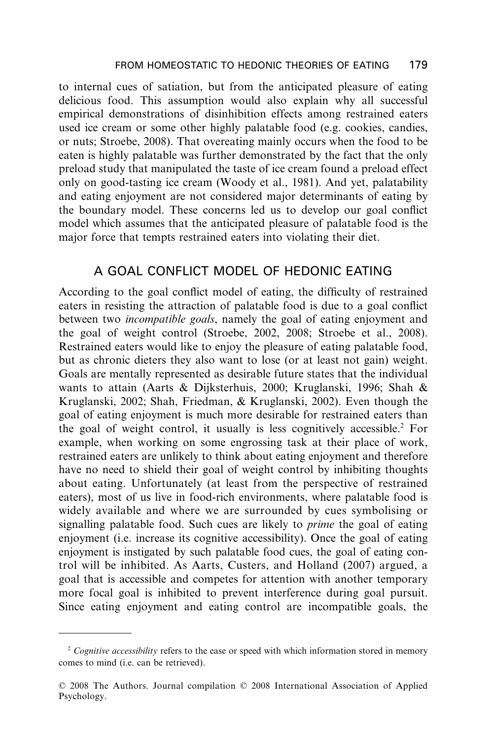to internal cues of satiation, but from the anticipated pleasure of eating delicious food. This assumption would also explain why all successful empirical demonstrations of disinhibition effects among restrained eaters used ice cream or some other highly palatable food (e.g. cookies, candies, or nuts; Stroebe, 2008). That overeating mainly occurs when the food to be eaten is highly palatable was further demonstrated by the fact that the only preload study that manipulated the taste of ice cream found a preload effect only on good-tasting ice cream (Woody et al., 1981). And yet, palatability and eating enjoyment are not considered major determinants of eating by the boundary model. These concerns led us to develop our goal conflict model which assumes that the anticipated pleasure of palatable food is the major force that tempts restrained eaters into violating their diet.

# A GOAL CONFLICT MODEL OF HEDONIC EATING

According to the goal conflict model of eating, the difficulty of restrained eaters in resisting the attraction of palatable food is due to a goal conflict between two *incompatible goals*, namely the goal of eating enjoyment and the goal of weight control (Stroebe, 2002, 2008; Stroebe et al., 2008). Restrained eaters would like to enjoy the pleasure of eating palatable food, but as chronic dieters they also want to lose (or at least not gain) weight. Goals are mentally represented as desirable future states that the individual wants to attain (Aarts & Dijksterhuis, 2000; Kruglanski, 1996; Shah & Kruglanski, 2002; Shah, Friedman, & Kruglanski, 2002). Even though the goal of eating enjoyment is much more desirable for restrained eaters than the goal of weight control, it usually is less cognitively accessible.<sup>2</sup> For example, when working on some engrossing task at their place of work, restrained eaters are unlikely to think about eating enjoyment and therefore have no need to shield their goal of weight control by inhibiting thoughts about eating. Unfortunately (at least from the perspective of restrained eaters), most of us live in food-rich environments, where palatable food is widely available and where we are surrounded by cues symbolising or signalling palatable food. Such cues are likely to *prime* the goal of eating enjoyment (i.e. increase its cognitive accessibility). Once the goal of eating enjoyment is instigated by such palatable food cues, the goal of eating control will be inhibited. As Aarts, Custers, and Holland (2007) argued, a goal that is accessible and competes for attention with another temporary more focal goal is inhibited to prevent interference during goal pursuit. Since eating enjoyment and eating control are incompatible goals, the

<sup>&</sup>lt;sup>2</sup> Cognitive accessibility refers to the ease or speed with which information stored in memory comes to mind (i.e. can be retrieved).

<sup>© 2008</sup> The Authors. Journal compilation © 2008 International Association of Applied Psychology.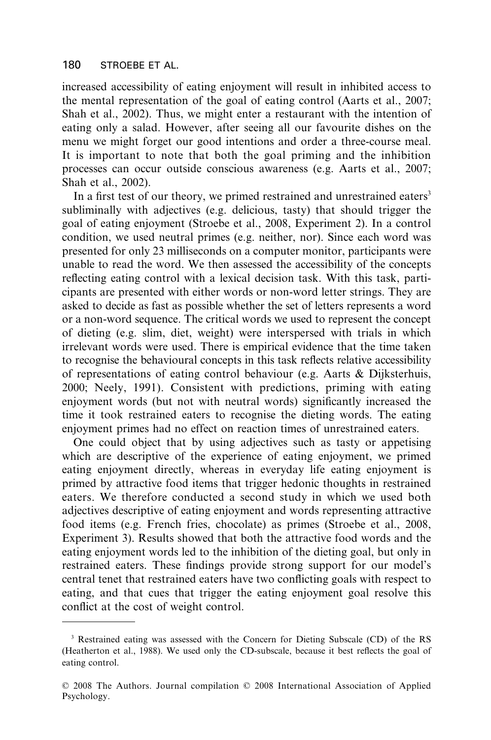increased accessibility of eating enjoyment will result in inhibited access to the mental representation of the goal of eating control (Aarts et al., 2007; Shah et al., 2002). Thus, we might enter a restaurant with the intention of eating only a salad. However, after seeing all our favourite dishes on the menu we might forget our good intentions and order a three-course meal. It is important to note that both the goal priming and the inhibition processes can occur outside conscious awareness (e.g. Aarts et al., 2007; Shah et al., 2002).

In a first test of our theory, we primed restrained and unrestrained eaters<sup>3</sup> subliminally with adjectives (e.g. delicious, tasty) that should trigger the goal of eating enjoyment (Stroebe et al., 2008, Experiment 2). In a control condition, we used neutral primes (e.g. neither, nor). Since each word was presented for only 23 milliseconds on a computer monitor, participants were unable to read the word. We then assessed the accessibility of the concepts reflecting eating control with a lexical decision task. With this task, participants are presented with either words or non-word letter strings. They are asked to decide as fast as possible whether the set of letters represents a word or a non-word sequence. The critical words we used to represent the concept of dieting (e.g. slim, diet, weight) were interspersed with trials in which irrelevant words were used. There is empirical evidence that the time taken to recognise the behavioural concepts in this task reflects relative accessibility of representations of eating control behaviour (e.g. Aarts & Dijksterhuis, 2000; Neely, 1991). Consistent with predictions, priming with eating enjoyment words (but not with neutral words) significantly increased the time it took restrained eaters to recognise the dieting words. The eating enjoyment primes had no effect on reaction times of unrestrained eaters.

One could object that by using adjectives such as tasty or appetising which are descriptive of the experience of eating enjoyment, we primed eating enjoyment directly, whereas in everyday life eating enjoyment is primed by attractive food items that trigger hedonic thoughts in restrained eaters. We therefore conducted a second study in which we used both adjectives descriptive of eating enjoyment and words representing attractive food items (e.g. French fries, chocolate) as primes (Stroebe et al., 2008, Experiment 3). Results showed that both the attractive food words and the eating enjoyment words led to the inhibition of the dieting goal, but only in restrained eaters. These findings provide strong support for our model's central tenet that restrained eaters have two conflicting goals with respect to eating, and that cues that trigger the eating enjoyment goal resolve this conflict at the cost of weight control.

<sup>&</sup>lt;sup>3</sup> Restrained eating was assessed with the Concern for Dieting Subscale (CD) of the RS (Heatherton et al., 1988). We used only the CD-subscale, because it best reflects the goal of eating control.

<sup>© 2008</sup> The Authors. Journal compilation © 2008 International Association of Applied Psychology.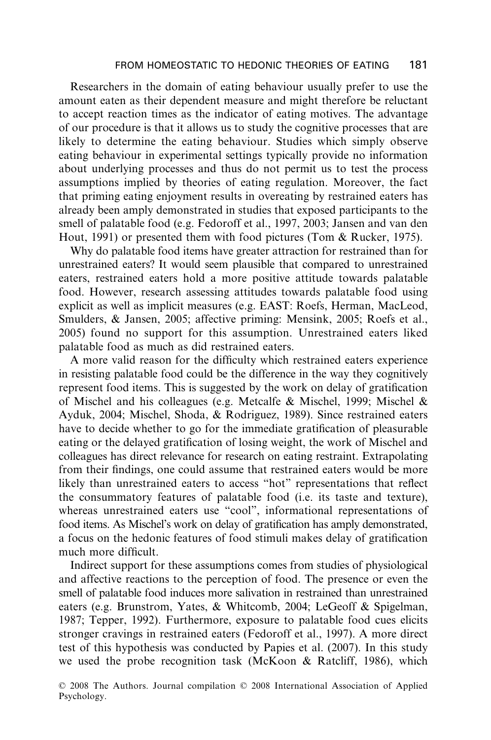Researchers in the domain of eating behaviour usually prefer to use the amount eaten as their dependent measure and might therefore be reluctant to accept reaction times as the indicator of eating motives. The advantage of our procedure is that it allows us to study the cognitive processes that are likely to determine the eating behaviour. Studies which simply observe eating behaviour in experimental settings typically provide no information about underlying processes and thus do not permit us to test the process assumptions implied by theories of eating regulation. Moreover, the fact that priming eating enjoyment results in overeating by restrained eaters has already been amply demonstrated in studies that exposed participants to the smell of palatable food (e.g. Fedoroff et al., 1997, 2003; Jansen and van den Hout, 1991) or presented them with food pictures (Tom & Rucker, 1975).

Why do palatable food items have greater attraction for restrained than for unrestrained eaters? It would seem plausible that compared to unrestrained eaters, restrained eaters hold a more positive attitude towards palatable food. However, research assessing attitudes towards palatable food using explicit as well as implicit measures (e.g. EAST: Roefs, Herman, MacLeod, Smulders, & Jansen, 2005; affective priming: Mensink, 2005; Roefs et al., 2005) found no support for this assumption. Unrestrained eaters liked palatable food as much as did restrained eaters.

A more valid reason for the difficulty which restrained eaters experience in resisting palatable food could be the difference in the way they cognitively represent food items. This is suggested by the work on delay of gratification of Mischel and his colleagues (e.g. Metcalfe & Mischel, 1999; Mischel & Ayduk, 2004; Mischel, Shoda, & Rodriguez, 1989). Since restrained eaters have to decide whether to go for the immediate gratification of pleasurable eating or the delayed gratification of losing weight, the work of Mischel and colleagues has direct relevance for research on eating restraint. Extrapolating from their findings, one could assume that restrained eaters would be more likely than unrestrained eaters to access "hot" representations that reflect the consummatory features of palatable food (i.e. its taste and texture), whereas unrestrained eaters use "cool", informational representations of food items. As Mischel's work on delay of gratification has amply demonstrated, a focus on the hedonic features of food stimuli makes delay of gratification much more difficult.

Indirect support for these assumptions comes from studies of physiological and affective reactions to the perception of food. The presence or even the smell of palatable food induces more salivation in restrained than unrestrained eaters (e.g. Brunstrom, Yates, & Whitcomb, 2004; LeGeoff & Spigelman, 1987; Tepper, 1992). Furthermore, exposure to palatable food cues elicits stronger cravings in restrained eaters (Fedoroff et al., 1997). A more direct test of this hypothesis was conducted by Papies et al. (2007). In this study we used the probe recognition task (McKoon & Ratcliff, 1986), which

<sup>© 2008</sup> The Authors. Journal compilation © 2008 International Association of Applied Psychology.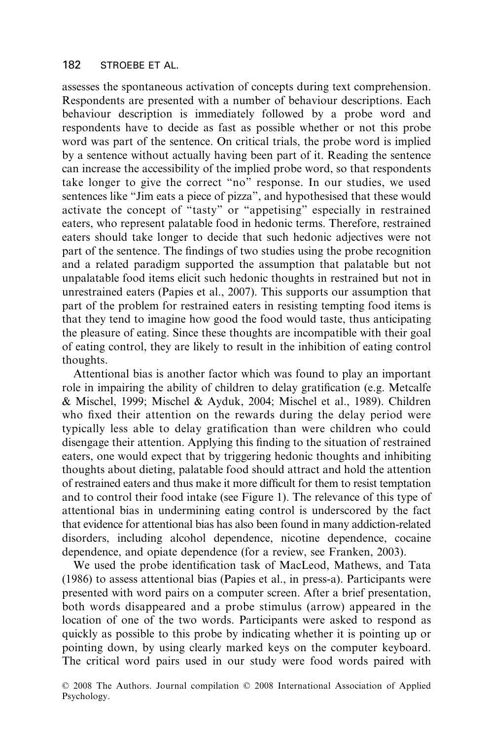assesses the spontaneous activation of concepts during text comprehension. Respondents are presented with a number of behaviour descriptions. Each behaviour description is immediately followed by a probe word and respondents have to decide as fast as possible whether or not this probe word was part of the sentence. On critical trials, the probe word is implied by a sentence without actually having been part of it. Reading the sentence can increase the accessibility of the implied probe word, so that respondents take longer to give the correct "no" response. In our studies, we used sentences like "Jim eats a piece of pizza", and hypothesised that these would activate the concept of "tasty" or "appetising" especially in restrained eaters, who represent palatable food in hedonic terms. Therefore, restrained eaters should take longer to decide that such hedonic adjectives were not part of the sentence. The findings of two studies using the probe recognition and a related paradigm supported the assumption that palatable but not unpalatable food items elicit such hedonic thoughts in restrained but not in unrestrained eaters (Papies et al., 2007). This supports our assumption that part of the problem for restrained eaters in resisting tempting food items is that they tend to imagine how good the food would taste, thus anticipating the pleasure of eating. Since these thoughts are incompatible with their goal of eating control, they are likely to result in the inhibition of eating control thoughts.

Attentional bias is another factor which was found to play an important role in impairing the ability of children to delay gratification (e.g. Metcalfe & Mischel, 1999; Mischel & Ayduk, 2004; Mischel et al., 1989). Children who fixed their attention on the rewards during the delay period were typically less able to delay gratification than were children who could disengage their attention. Applying this finding to the situation of restrained eaters, one would expect that by triggering hedonic thoughts and inhibiting thoughts about dieting, palatable food should attract and hold the attention of restrained eaters and thus make it more difficult for them to resist temptation and to control their food intake (see Figure 1). The relevance of this type of attentional bias in undermining eating control is underscored by the fact that evidence for attentional bias has also been found in many addiction-related disorders, including alcohol dependence, nicotine dependence, cocaine dependence, and opiate dependence (for a review, see Franken, 2003).

We used the probe identification task of MacLeod, Mathews, and Tata (1986) to assess attentional bias (Papies et al., in press-a). Participants were presented with word pairs on a computer screen. After a brief presentation, both words disappeared and a probe stimulus (arrow) appeared in the location of one of the two words. Participants were asked to respond as quickly as possible to this probe by indicating whether it is pointing up or pointing down, by using clearly marked keys on the computer keyboard. The critical word pairs used in our study were food words paired with

<sup>© 2008</sup> The Authors. Journal compilation © 2008 International Association of Applied Psychology.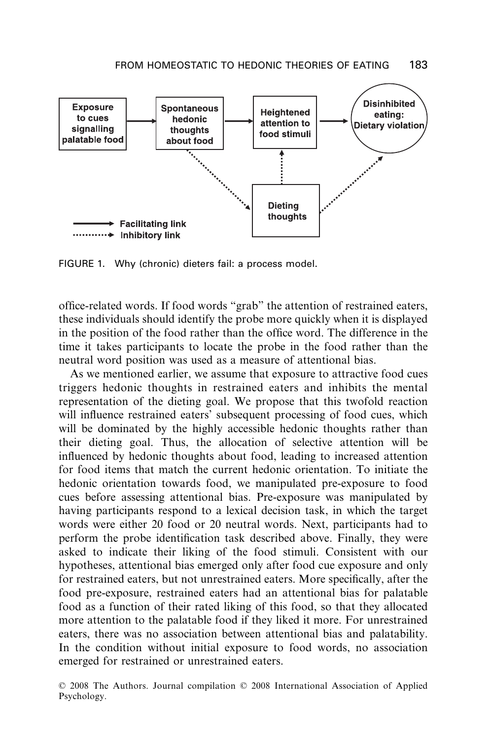

FIGURE 1. Why (chronic) dieters fail: a process model.

office-related words. If food words "grab" the attention of restrained eaters, these individuals should identify the probe more quickly when it is displayed in the position of the food rather than the office word. The difference in the time it takes participants to locate the probe in the food rather than the neutral word position was used as a measure of attentional bias.

As we mentioned earlier, we assume that exposure to attractive food cues triggers hedonic thoughts in restrained eaters and inhibits the mental representation of the dieting goal. We propose that this twofold reaction will influence restrained eaters' subsequent processing of food cues, which will be dominated by the highly accessible hedonic thoughts rather than their dieting goal. Thus, the allocation of selective attention will be influenced by hedonic thoughts about food, leading to increased attention for food items that match the current hedonic orientation. To initiate the hedonic orientation towards food, we manipulated pre-exposure to food cues before assessing attentional bias. Pre-exposure was manipulated by having participants respond to a lexical decision task, in which the target words were either 20 food or 20 neutral words. Next, participants had to perform the probe identification task described above. Finally, they were asked to indicate their liking of the food stimuli. Consistent with our hypotheses, attentional bias emerged only after food cue exposure and only for restrained eaters, but not unrestrained eaters. More specifically, after the food pre-exposure, restrained eaters had an attentional bias for palatable food as a function of their rated liking of this food, so that they allocated more attention to the palatable food if they liked it more. For unrestrained eaters, there was no association between attentional bias and palatability. In the condition without initial exposure to food words, no association emerged for restrained or unrestrained eaters.

<sup>© 2008</sup> The Authors. Journal compilation © 2008 International Association of Applied Psychology.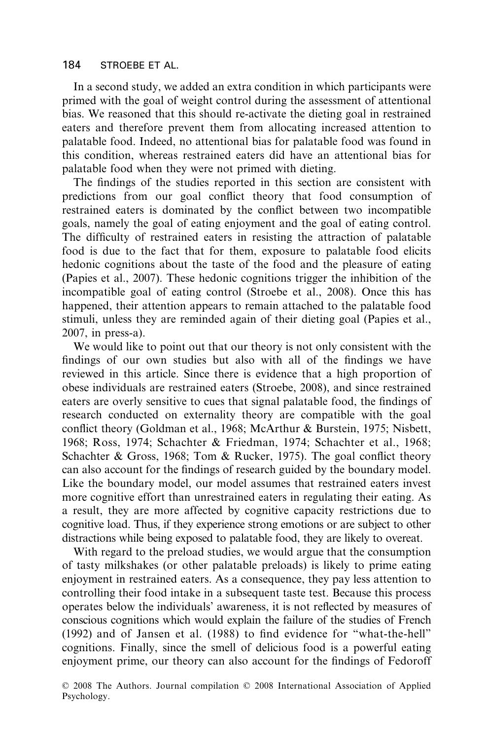In a second study, we added an extra condition in which participants were primed with the goal of weight control during the assessment of attentional bias. We reasoned that this should re-activate the dieting goal in restrained eaters and therefore prevent them from allocating increased attention to palatable food. Indeed, no attentional bias for palatable food was found in this condition, whereas restrained eaters did have an attentional bias for palatable food when they were not primed with dieting.

The findings of the studies reported in this section are consistent with predictions from our goal conflict theory that food consumption of restrained eaters is dominated by the conflict between two incompatible goals, namely the goal of eating enjoyment and the goal of eating control. The difficulty of restrained eaters in resisting the attraction of palatable food is due to the fact that for them, exposure to palatable food elicits hedonic cognitions about the taste of the food and the pleasure of eating (Papies et al., 2007). These hedonic cognitions trigger the inhibition of the incompatible goal of eating control (Stroebe et al., 2008). Once this has happened, their attention appears to remain attached to the palatable food stimuli, unless they are reminded again of their dieting goal (Papies et al., 2007, in press-a).

We would like to point out that our theory is not only consistent with the findings of our own studies but also with all of the findings we have reviewed in this article. Since there is evidence that a high proportion of obese individuals are restrained eaters (Stroebe, 2008), and since restrained eaters are overly sensitive to cues that signal palatable food, the findings of research conducted on externality theory are compatible with the goal conflict theory (Goldman et al., 1968; McArthur & Burstein, 1975; Nisbett, 1968; Ross, 1974; Schachter & Friedman, 1974; Schachter et al., 1968; Schachter & Gross, 1968; Tom & Rucker, 1975). The goal conflict theory can also account for the findings of research guided by the boundary model. Like the boundary model, our model assumes that restrained eaters invest more cognitive effort than unrestrained eaters in regulating their eating. As a result, they are more affected by cognitive capacity restrictions due to cognitive load. Thus, if they experience strong emotions or are subject to other distractions while being exposed to palatable food, they are likely to overeat.

With regard to the preload studies, we would argue that the consumption of tasty milkshakes (or other palatable preloads) is likely to prime eating enjoyment in restrained eaters. As a consequence, they pay less attention to controlling their food intake in a subsequent taste test. Because this process operates below the individuals' awareness, it is not reflected by measures of conscious cognitions which would explain the failure of the studies of French (1992) and of Jansen et al. (1988) to find evidence for "what-the-hell" cognitions. Finally, since the smell of delicious food is a powerful eating enjoyment prime, our theory can also account for the findings of Fedoroff

<sup>© 2008</sup> The Authors. Journal compilation © 2008 International Association of Applied Psychology.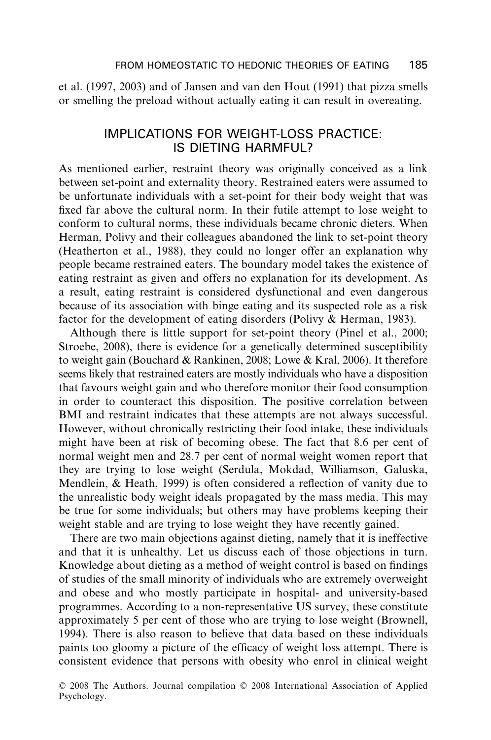et al. (1997, 2003) and of Jansen and van den Hout (1991) that pizza smells or smelling the preload without actually eating it can result in overeating.

## IMPLICATIONS FOR WEIGHT-LOSS PRACTICE: IS DIETING HARMFUL?

As mentioned earlier, restraint theory was originally conceived as a link between set-point and externality theory. Restrained eaters were assumed to be unfortunate individuals with a set-point for their body weight that was fixed far above the cultural norm. In their futile attempt to lose weight to conform to cultural norms, these individuals became chronic dieters. When Herman, Polivy and their colleagues abandoned the link to set-point theory (Heatherton et al., 1988), they could no longer offer an explanation why people became restrained eaters. The boundary model takes the existence of eating restraint as given and offers no explanation for its development. As a result, eating restraint is considered dysfunctional and even dangerous because of its association with binge eating and its suspected role as a risk factor for the development of eating disorders (Polivy & Herman, 1983).

Although there is little support for set-point theory (Pinel et al., 2000; Stroebe, 2008), there is evidence for a genetically determined susceptibility to weight gain (Bouchard & Rankinen, 2008; Lowe & Kral, 2006). It therefore seems likely that restrained eaters are mostly individuals who have a disposition that favours weight gain and who therefore monitor their food consumption in order to counteract this disposition. The positive correlation between BMI and restraint indicates that these attempts are not always successful. However, without chronically restricting their food intake, these individuals might have been at risk of becoming obese. The fact that 8.6 per cent of normal weight men and 28.7 per cent of normal weight women report that they are trying to lose weight (Serdula, Mokdad, Williamson, Galuska, Mendlein, & Heath, 1999) is often considered a reflection of vanity due to the unrealistic body weight ideals propagated by the mass media. This may be true for some individuals; but others may have problems keeping their weight stable and are trying to lose weight they have recently gained.

There are two main objections against dieting, namely that it is ineffective and that it is unhealthy. Let us discuss each of those objections in turn. Knowledge about dieting as a method of weight control is based on findings of studies of the small minority of individuals who are extremely overweight and obese and who mostly participate in hospital- and university-based programmes. According to a non-representative US survey, these constitute approximately 5 per cent of those who are trying to lose weight (Brownell, 1994). There is also reason to believe that data based on these individuals paints too gloomy a picture of the efficacy of weight loss attempt. There is consistent evidence that persons with obesity who enrol in clinical weight

<sup>© 2008</sup> The Authors. Journal compilation © 2008 International Association of Applied Psychology.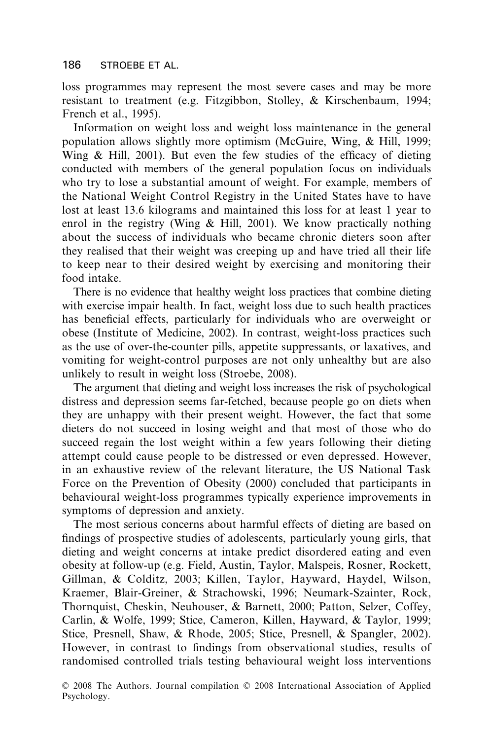loss programmes may represent the most severe cases and may be more resistant to treatment (e.g. Fitzgibbon, Stolley, & Kirschenbaum, 1994; French et al., 1995).

Information on weight loss and weight loss maintenance in the general population allows slightly more optimism (McGuire, Wing, & Hill, 1999; Wing  $\&$  Hill, 2001). But even the few studies of the efficacy of dieting conducted with members of the general population focus on individuals who try to lose a substantial amount of weight. For example, members of the National Weight Control Registry in the United States have to have lost at least 13.6 kilograms and maintained this loss for at least 1 year to enrol in the registry (Wing  $\&$  Hill, 2001). We know practically nothing about the success of individuals who became chronic dieters soon after they realised that their weight was creeping up and have tried all their life to keep near to their desired weight by exercising and monitoring their food intake.

There is no evidence that healthy weight loss practices that combine dieting with exercise impair health. In fact, weight loss due to such health practices has beneficial effects, particularly for individuals who are overweight or obese (Institute of Medicine, 2002). In contrast, weight-loss practices such as the use of over-the-counter pills, appetite suppressants, or laxatives, and vomiting for weight-control purposes are not only unhealthy but are also unlikely to result in weight loss (Stroebe, 2008).

The argument that dieting and weight loss increases the risk of psychological distress and depression seems far-fetched, because people go on diets when they are unhappy with their present weight. However, the fact that some dieters do not succeed in losing weight and that most of those who do succeed regain the lost weight within a few years following their dieting attempt could cause people to be distressed or even depressed. However, in an exhaustive review of the relevant literature, the US National Task Force on the Prevention of Obesity (2000) concluded that participants in behavioural weight-loss programmes typically experience improvements in symptoms of depression and anxiety.

The most serious concerns about harmful effects of dieting are based on findings of prospective studies of adolescents, particularly young girls, that dieting and weight concerns at intake predict disordered eating and even obesity at follow-up (e.g. Field, Austin, Taylor, Malspeis, Rosner, Rockett, Gillman, & Colditz, 2003; Killen, Taylor, Hayward, Haydel, Wilson, Kraemer, Blair-Greiner, & Strachowski, 1996; Neumark-Szainter, Rock, Thornquist, Cheskin, Neuhouser, & Barnett, 2000; Patton, Selzer, Coffey, Carlin, & Wolfe, 1999; Stice, Cameron, Killen, Hayward, & Taylor, 1999; Stice, Presnell, Shaw, & Rhode, 2005; Stice, Presnell, & Spangler, 2002). However, in contrast to findings from observational studies, results of randomised controlled trials testing behavioural weight loss interventions

<sup>© 2008</sup> The Authors. Journal compilation © 2008 International Association of Applied Psychology.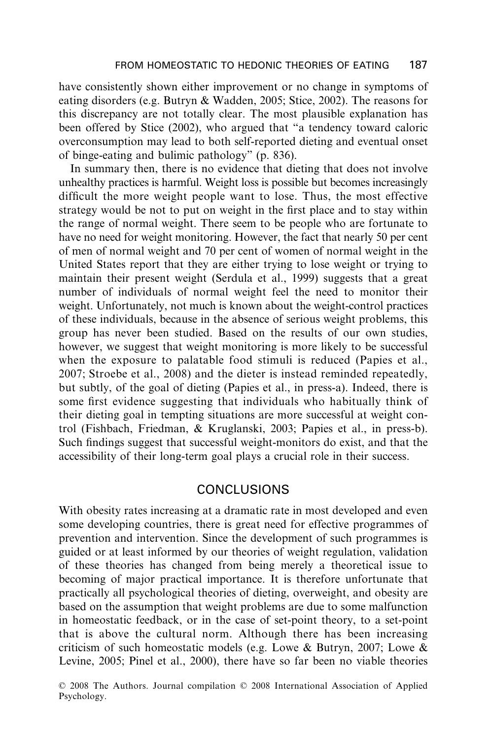have consistently shown either improvement or no change in symptoms of eating disorders (e.g. Butryn & Wadden, 2005; Stice, 2002). The reasons for this discrepancy are not totally clear. The most plausible explanation has been offered by Stice (2002), who argued that "a tendency toward caloric overconsumption may lead to both self-reported dieting and eventual onset of binge-eating and bulimic pathology" (p. 836).

In summary then, there is no evidence that dieting that does not involve unhealthy practices is harmful. Weight loss is possible but becomes increasingly difficult the more weight people want to lose. Thus, the most effective strategy would be not to put on weight in the first place and to stay within the range of normal weight. There seem to be people who are fortunate to have no need for weight monitoring. However, the fact that nearly 50 per cent of men of normal weight and 70 per cent of women of normal weight in the United States report that they are either trying to lose weight or trying to maintain their present weight (Serdula et al., 1999) suggests that a great number of individuals of normal weight feel the need to monitor their weight. Unfortunately, not much is known about the weight-control practices of these individuals, because in the absence of serious weight problems, this group has never been studied. Based on the results of our own studies, however, we suggest that weight monitoring is more likely to be successful when the exposure to palatable food stimuli is reduced (Papies et al., 2007; Stroebe et al., 2008) and the dieter is instead reminded repeatedly, but subtly, of the goal of dieting (Papies et al., in press-a). Indeed, there is some first evidence suggesting that individuals who habitually think of their dieting goal in tempting situations are more successful at weight control (Fishbach, Friedman, & Kruglanski, 2003; Papies et al., in press-b). Such findings suggest that successful weight-monitors do exist, and that the accessibility of their long-term goal plays a crucial role in their success.

## **CONCLUSIONS**

With obesity rates increasing at a dramatic rate in most developed and even some developing countries, there is great need for effective programmes of prevention and intervention. Since the development of such programmes is guided or at least informed by our theories of weight regulation, validation of these theories has changed from being merely a theoretical issue to becoming of major practical importance. It is therefore unfortunate that practically all psychological theories of dieting, overweight, and obesity are based on the assumption that weight problems are due to some malfunction in homeostatic feedback, or in the case of set-point theory, to a set-point that is above the cultural norm. Although there has been increasing criticism of such homeostatic models (e.g. Lowe  $\&$  Butryn, 2007; Lowe  $\&$ Levine, 2005; Pinel et al., 2000), there have so far been no viable theories

<sup>© 2008</sup> The Authors. Journal compilation © 2008 International Association of Applied Psychology.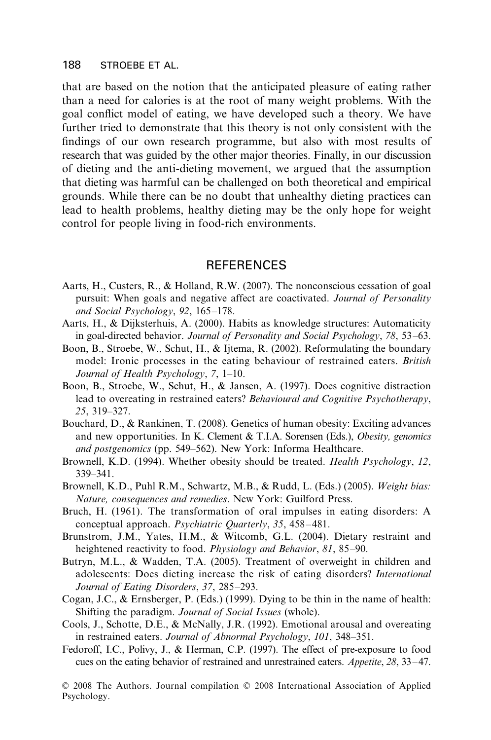that are based on the notion that the anticipated pleasure of eating rather than a need for calories is at the root of many weight problems. With the goal conflict model of eating, we have developed such a theory. We have further tried to demonstrate that this theory is not only consistent with the findings of our own research programme, but also with most results of research that was guided by the other major theories. Finally, in our discussion of dieting and the anti-dieting movement, we argued that the assumption that dieting was harmful can be challenged on both theoretical and empirical grounds. While there can be no doubt that unhealthy dieting practices can lead to health problems, healthy dieting may be the only hope for weight control for people living in food-rich environments.

## REFERENCES

- Aarts, H., Custers, R., & Holland, R.W. (2007). The nonconscious cessation of goal pursuit: When goals and negative affect are coactivated. *Journal of Personality and Social Psychology*, *92*, 165–178.
- Aarts, H., & Dijksterhuis, A. (2000). Habits as knowledge structures: Automaticity in goal-directed behavior. *Journal of Personality and Social Psychology*, *78*, 53–63.
- Boon, B., Stroebe, W., Schut, H., & Ijtema, R. (2002). Reformulating the boundary model: Ironic processes in the eating behaviour of restrained eaters. *British Journal of Health Psychology*, *7*, 1–10.
- Boon, B., Stroebe, W., Schut, H., & Jansen, A. (1997). Does cognitive distraction lead to overeating in restrained eaters? *Behavioural and Cognitive Psychotherapy*, *25*, 319–327.
- Bouchard, D., & Rankinen, T. (2008). Genetics of human obesity: Exciting advances and new opportunities. In K. Clement & T.I.A. Sorensen (Eds.), *Obesity, genomics and postgenomics* (pp. 549–562). New York: Informa Healthcare.
- Brownell, K.D. (1994). Whether obesity should be treated. *Health Psychology*, *12*, 339–341.
- Brownell, K.D., Puhl R.M., Schwartz, M.B., & Rudd, L. (Eds.) (2005). *Weight bias: Nature, consequences and remedies*. New York: Guilford Press.
- Bruch, H. (1961). The transformation of oral impulses in eating disorders: A conceptual approach. *Psychiatric Quarterly*, *35*, 458–481.
- Brunstrom, J.M., Yates, H.M., & Witcomb, G.L. (2004). Dietary restraint and heightened reactivity to food. *Physiology and Behavior*, *81*, 85–90.
- Butryn, M.L., & Wadden, T.A. (2005). Treatment of overweight in children and adolescents: Does dieting increase the risk of eating disorders? *International Journal of Eating Disorders*, *37*, 285–293.
- Cogan, J.C., & Ernsberger, P. (Eds.) (1999). Dying to be thin in the name of health: Shifting the paradigm. *Journal of Social Issues* (whole).
- Cools, J., Schotte, D.E., & McNally, J.R. (1992). Emotional arousal and overeating in restrained eaters. *Journal of Abnormal Psychology*, *101*, 348–351.
- Fedoroff, I.C., Polivy, J., & Herman, C.P. (1997). The effect of pre-exposure to food cues on the eating behavior of restrained and unrestrained eaters. *Appetite*, *28*, 33–47.

© 2008 The Authors. Journal compilation © 2008 International Association of Applied Psychology.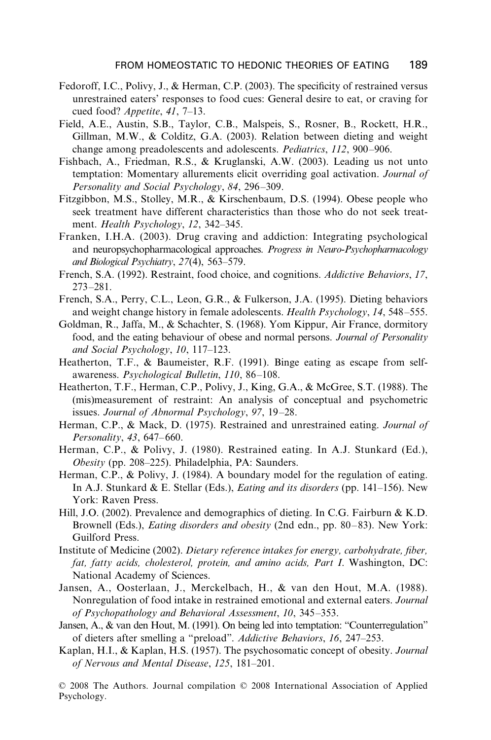- Fedoroff, I.C., Polivy, J., & Herman, C.P. (2003). The specificity of restrained versus unrestrained eaters' responses to food cues: General desire to eat, or craving for cued food? *Appetite*, *41*, 7–13.
- Field, A.E., Austin, S.B., Taylor, C.B., Malspeis, S., Rosner, B., Rockett, H.R., Gillman, M.W., & Colditz, G.A. (2003). Relation between dieting and weight change among preadolescents and adolescents. *Pediatrics*, *112*, 900–906.
- Fishbach, A., Friedman, R.S., & Kruglanski, A.W. (2003). Leading us not unto temptation: Momentary allurements elicit overriding goal activation. *Journal of Personality and Social Psychology*, *84*, 296–309.
- Fitzgibbon, M.S., Stolley, M.R., & Kirschenbaum, D.S. (1994). Obese people who seek treatment have different characteristics than those who do not seek treatment. *Health Psychology*, *12*, 342–345.
- Franken, I.H.A. (2003). Drug craving and addiction: Integrating psychological and neuropsychopharmacological approaches. *Progress in Neuro-Psychopharmacology and Biological Psychiatry*, *27*(4), 563–579.
- French, S.A. (1992). Restraint, food choice, and cognitions. *Addictive Behaviors*, *17*, 273–281.
- French, S.A., Perry, C.L., Leon, G.R., & Fulkerson, J.A. (1995). Dieting behaviors and weight change history in female adolescents. *Health Psychology*, *14*, 548–555.
- Goldman, R., Jaffa, M., & Schachter, S. (1968). Yom Kippur, Air France, dormitory food, and the eating behaviour of obese and normal persons. *Journal of Personality and Social Psychology*, *10*, 117–123.
- Heatherton, T.F., & Baumeister, R.F. (1991). Binge eating as escape from selfawareness. *Psychological Bulletin*, *110*, 86–108.
- Heatherton, T.F., Herman, C.P., Polivy, J., King, G.A., & McGree, S.T. (1988). The (mis)measurement of restraint: An analysis of conceptual and psychometric issues. *Journal of Abnormal Psychology*, *97*, 19–28.
- Herman, C.P., & Mack, D. (1975). Restrained and unrestrained eating. *Journal of Personality*, *43*, 647–660.
- Herman, C.P., & Polivy, J. (1980). Restrained eating. In A.J. Stunkard (Ed.), *Obesity* (pp. 208–225). Philadelphia, PA: Saunders.
- Herman, C.P., & Polivy, J. (1984). A boundary model for the regulation of eating. In A.J. Stunkard & E. Stellar (Eds.), *Eating and its disorders* (pp. 141–156). New York: Raven Press.
- Hill, J.O. (2002). Prevalence and demographics of dieting. In C.G. Fairburn & K.D. Brownell (Eds.), *Eating disorders and obesity* (2nd edn., pp. 80–83). New York: Guilford Press.
- Institute of Medicine (2002). *Dietary reference intakes for energy, carbohydrate, fiber, fat, fatty acids, cholesterol, protein, and amino acids, Part I*. Washington, DC: National Academy of Sciences.
- Jansen, A., Oosterlaan, J., Merckelbach, H., & van den Hout, M.A. (1988). Nonregulation of food intake in restrained emotional and external eaters. *Journal of Psychopathology and Behavioral Assessment*, *10*, 345–353.
- Jansen, A., & van den Hout, M. (1991). On being led into temptation: "Counterregulation" of dieters after smelling a "preload". *Addictive Behaviors*, *16*, 247–253.
- Kaplan, H.I., & Kaplan, H.S. (1957). The psychosomatic concept of obesity. *Journal of Nervous and Mental Disease*, *125*, 181–201.

<sup>© 2008</sup> The Authors. Journal compilation © 2008 International Association of Applied Psychology.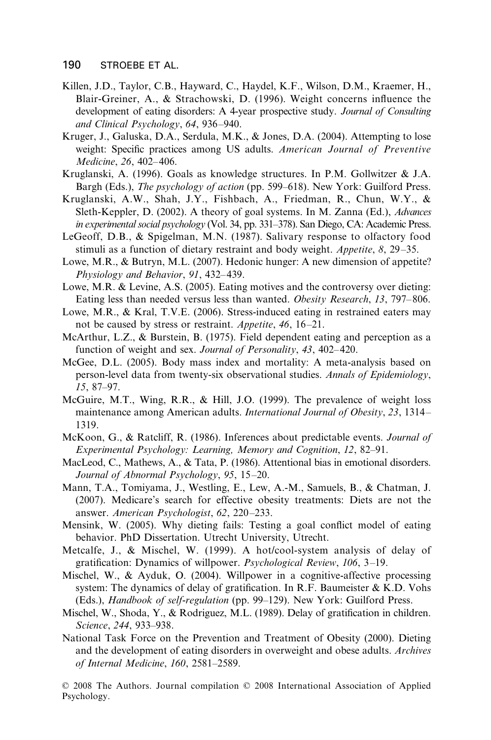- Killen, J.D., Taylor, C.B., Hayward, C., Haydel, K.F., Wilson, D.M., Kraemer, H., Blair-Greiner, A., & Strachowski, D. (1996). Weight concerns influence the development of eating disorders: A 4-year prospective study. *Journal of Consulting and Clinical Psychology*, *64*, 936–940.
- Kruger, J., Galuska, D.A., Serdula, M.K., & Jones, D.A. (2004). Attempting to lose weight: Specific practices among US adults. *American Journal of Preventive Medicine*, *26*, 402–406.
- Kruglanski, A. (1996). Goals as knowledge structures. In P.M. Gollwitzer & J.A. Bargh (Eds.), *The psychology of action* (pp. 599–618). New York: Guilford Press.
- Kruglanski, A.W., Shah, J.Y., Fishbach, A., Friedman, R., Chun, W.Y., & Sleth-Keppler, D. (2002). A theory of goal systems. In M. Zanna (Ed.), *Advances in experimental social psychology* (Vol. 34, pp. 331–378). San Diego, CA: Academic Press.
- LeGeoff, D.B., & Spigelman, M.N. (1987). Salivary response to olfactory food stimuli as a function of dietary restraint and body weight. *Appetite*, *8*, 29–35.
- Lowe, M.R., & Butryn, M.L. (2007). Hedonic hunger: A new dimension of appetite? *Physiology and Behavior*, *91*, 432–439.
- Lowe, M.R. & Levine, A.S. (2005). Eating motives and the controversy over dieting: Eating less than needed versus less than wanted. *Obesity Research*, *13*, 797–806.
- Lowe, M.R., & Kral, T.V.E. (2006). Stress-induced eating in restrained eaters may not be caused by stress or restraint. *Appetite*, *46*, 16–21.
- McArthur, L.Z., & Burstein, B. (1975). Field dependent eating and perception as a function of weight and sex. *Journal of Personality*, *43*, 402–420.
- McGee, D.L. (2005). Body mass index and mortality: A meta-analysis based on person-level data from twenty-six observational studies. *Annals of Epidemiology*, *15*, 87–97.
- McGuire, M.T., Wing, R.R., & Hill, J.O. (1999). The prevalence of weight loss maintenance among American adults. *International Journal of Obesity*, *23*, 1314– 1319.
- McKoon, G., & Ratcliff, R. (1986). Inferences about predictable events. *Journal of Experimental Psychology: Learning, Memory and Cognition*, *12*, 82–91.
- MacLeod, C., Mathews, A., & Tata, P. (1986). Attentional bias in emotional disorders. *Journal of Abnormal Psychology*, *95*, 15–20.
- Mann, T.A., Tomiyama, J., Westling, E., Lew, A.-M., Samuels, B., & Chatman, J. (2007). Medicare's search for effective obesity treatments: Diets are not the answer. *American Psychologist*, *62*, 220–233.
- Mensink, W. (2005). Why dieting fails: Testing a goal conflict model of eating behavior. PhD Dissertation. Utrecht University, Utrecht.
- Metcalfe, J., & Mischel, W. (1999). A hot/cool-system analysis of delay of gratification: Dynamics of willpower. *Psychological Review*, *106*, 3–19.
- Mischel, W., & Ayduk, O. (2004). Willpower in a cognitive-affective processing system: The dynamics of delay of gratification. In R.F. Baumeister & K.D. Vohs (Eds.), *Handbook of self-regulation* (pp. 99–129). New York: Guilford Press.
- Mischel, W., Shoda, Y., & Rodriguez, M.L. (1989). Delay of gratification in children. *Science*, *244*, 933–938.
- National Task Force on the Prevention and Treatment of Obesity (2000). Dieting and the development of eating disorders in overweight and obese adults. *Archives of Internal Medicine*, *160*, 2581–2589.

© 2008 The Authors. Journal compilation © 2008 International Association of Applied Psychology.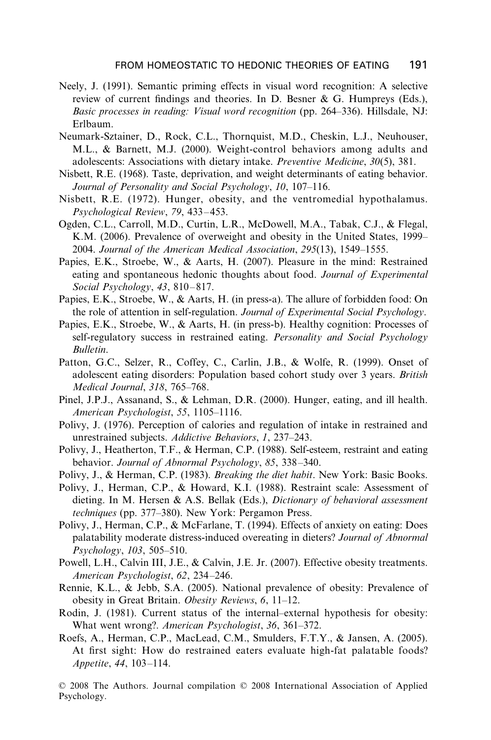- Neely, J. (1991). Semantic priming effects in visual word recognition: A selective review of current findings and theories. In D. Besner & G. Humpreys (Eds.), *Basic processes in reading: Visual word recognition* (pp. 264–336). Hillsdale, NJ: Erlbaum.
- Neumark-Sztainer, D., Rock, C.L., Thornquist, M.D., Cheskin, L.J., Neuhouser, M.L., & Barnett, M.J. (2000). Weight-control behaviors among adults and adolescents: Associations with dietary intake. *Preventive Medicine*, *30*(5), 381.
- Nisbett, R.E. (1968). Taste, deprivation, and weight determinants of eating behavior. *Journal of Personality and Social Psychology*, *10*, 107–116.
- Nisbett, R.E. (1972). Hunger, obesity, and the ventromedial hypothalamus. *Psychological Review*, *79*, 433–453.
- Ogden, C.L., Carroll, M.D., Curtin, L.R., McDowell, M.A., Tabak, C.J., & Flegal, K.M. (2006). Prevalence of overweight and obesity in the United States, 1999– 2004. *Journal of the American Medical Association*, *295*(13), 1549–1555.
- Papies, E.K., Stroebe, W., & Aarts, H. (2007). Pleasure in the mind: Restrained eating and spontaneous hedonic thoughts about food. *Journal of Experimental Social Psychology*, *43*, 810–817.
- Papies, E.K., Stroebe, W., & Aarts, H. (in press-a). The allure of forbidden food: On the role of attention in self-regulation. *Journal of Experimental Social Psychology*.
- Papies, E.K., Stroebe, W., & Aarts, H. (in press-b). Healthy cognition: Processes of self-regulatory success in restrained eating. *Personality and Social Psychology Bulletin*.
- Patton, G.C., Selzer, R., Coffey, C., Carlin, J.B., & Wolfe, R. (1999). Onset of adolescent eating disorders: Population based cohort study over 3 years. *British Medical Journal*, *318*, 765–768.
- Pinel, J.P.J., Assanand, S., & Lehman, D.R. (2000). Hunger, eating, and ill health. *American Psychologist*, *55*, 1105–1116.
- Polivy, J. (1976). Perception of calories and regulation of intake in restrained and unrestrained subjects. *Addictive Behaviors*, *1*, 237–243.
- Polivy, J., Heatherton, T.F., & Herman, C.P. (1988). Self-esteem, restraint and eating behavior. *Journal of Abnormal Psychology*, *85*, 338–340.
- Polivy, J., & Herman, C.P. (1983). *Breaking the diet habit*. New York: Basic Books.
- Polivy, J., Herman, C.P., & Howard, K.I. (1988). Restraint scale: Assessment of dieting. In M. Hersen & A.S. Bellak (Eds.), *Dictionary of behavioral assessment techniques* (pp. 377–380). New York: Pergamon Press.
- Polivy, J., Herman, C.P., & McFarlane, T. (1994). Effects of anxiety on eating: Does palatability moderate distress-induced overeating in dieters? *Journal of Abnormal Psychology*, *103*, 505–510.
- Powell, L.H., Calvin III, J.E., & Calvin, J.E. Jr. (2007). Effective obesity treatments. *American Psychologist*, *62*, 234–246.
- Rennie, K.L., & Jebb, S.A. (2005). National prevalence of obesity: Prevalence of obesity in Great Britain. *Obesity Reviews*, *6*, 11–12.
- Rodin, J. (1981). Current status of the internal–external hypothesis for obesity: What went wrong?. *American Psychologist*, *36*, 361–372.
- Roefs, A., Herman, C.P., MacLead, C.M., Smulders, F.T.Y., & Jansen, A. (2005). At first sight: How do restrained eaters evaluate high-fat palatable foods? *Appetite*, *44*, 103–114.
- © 2008 The Authors. Journal compilation © 2008 International Association of Applied Psychology.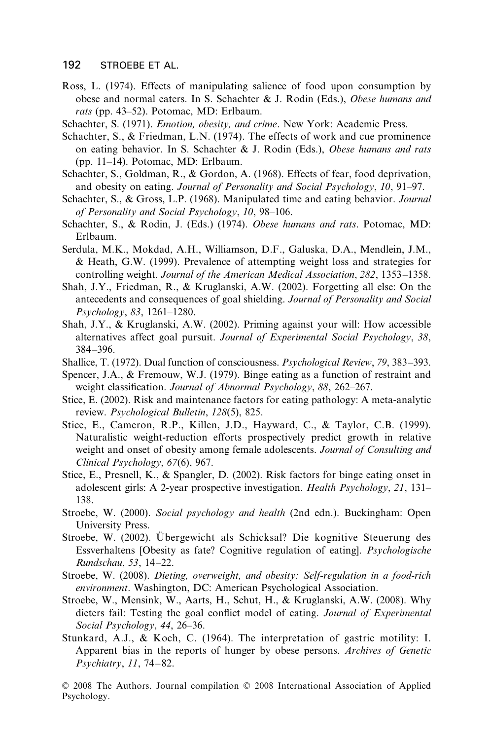- Ross, L. (1974). Effects of manipulating salience of food upon consumption by obese and normal eaters. In S. Schachter & J. Rodin (Eds.), *Obese humans and rats* (pp. 43–52). Potomac, MD: Erlbaum.
- Schachter, S. (1971). *Emotion, obesity, and crime*. New York: Academic Press.
- Schachter, S., & Friedman, L.N. (1974). The effects of work and cue prominence on eating behavior. In S. Schachter & J. Rodin (Eds.), *Obese humans and rats* (pp. 11–14). Potomac, MD: Erlbaum.
- Schachter, S., Goldman, R., & Gordon, A. (1968). Effects of fear, food deprivation, and obesity on eating. *Journal of Personality and Social Psychology*, *10*, 91–97.
- Schachter, S., & Gross, L.P. (1968). Manipulated time and eating behavior. *Journal of Personality and Social Psychology*, *10*, 98–106.
- Schachter, S., & Rodin, J. (Eds.) (1974). *Obese humans and rats*. Potomac, MD: Erlbaum.
- Serdula, M.K., Mokdad, A.H., Williamson, D.F., Galuska, D.A., Mendlein, J.M., & Heath, G.W. (1999). Prevalence of attempting weight loss and strategies for controlling weight. *Journal of the American Medical Association*, *282*, 1353–1358.
- Shah, J.Y., Friedman, R., & Kruglanski, A.W. (2002). Forgetting all else: On the antecedents and consequences of goal shielding. *Journal of Personality and Social Psychology*, *83*, 1261–1280.
- Shah, J.Y., & Kruglanski, A.W. (2002). Priming against your will: How accessible alternatives affect goal pursuit. *Journal of Experimental Social Psychology*, *38*, 384–396.
- Shallice, T. (1972). Dual function of consciousness. *Psychological Review*, *79*, 383–393.
- Spencer, J.A., & Fremouw, W.J. (1979). Binge eating as a function of restraint and weight classification. *Journal of Abnormal Psychology*, *88*, 262–267.
- Stice, E. (2002). Risk and maintenance factors for eating pathology: A meta-analytic review. *Psychological Bulletin*, *128*(5), 825.
- Stice, E., Cameron, R.P., Killen, J.D., Hayward, C., & Taylor, C.B. (1999). Naturalistic weight-reduction efforts prospectively predict growth in relative weight and onset of obesity among female adolescents. *Journal of Consulting and Clinical Psychology*, *67*(6), 967.
- Stice, E., Presnell, K., & Spangler, D. (2002). Risk factors for binge eating onset in adolescent girls: A 2-year prospective investigation. *Health Psychology*, *21*, 131– 138.
- Stroebe, W. (2000). *Social psychology and health* (2nd edn.). Buckingham: Open University Press.
- Stroebe, W. (2002). Übergewicht als Schicksal? Die kognitive Steuerung des Essverhaltens [Obesity as fate? Cognitive regulation of eating]. *Psychologische Rundschau*, *53*, 14–22.
- Stroebe, W. (2008). *Dieting, overweight, and obesity: Self-regulation in a food-rich environment*. Washington, DC: American Psychological Association.
- Stroebe, W., Mensink, W., Aarts, H., Schut, H., & Kruglanski, A.W. (2008). Why dieters fail: Testing the goal conflict model of eating. *Journal of Experimental Social Psychology*, *44*, 26–36.
- Stunkard, A.J., & Koch, C. (1964). The interpretation of gastric motility: I. Apparent bias in the reports of hunger by obese persons. *Archives of Genetic Psychiatry*, *11*, 74–82.

© 2008 The Authors. Journal compilation © 2008 International Association of Applied Psychology.